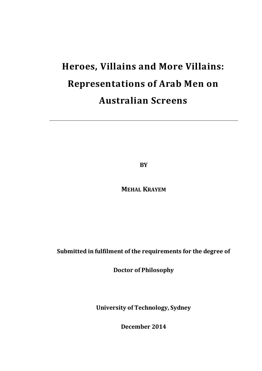# **Heroes, Villains and More Villains: Representations of Arab Men on Australian Screens**

**BY** 

**MEHAL KRAYEM**

**Submitted in fulfilment of the requirements for the degree of** 

**Doctor of Philosophy** 

**University of Technology, Sydney** 

**December 2014**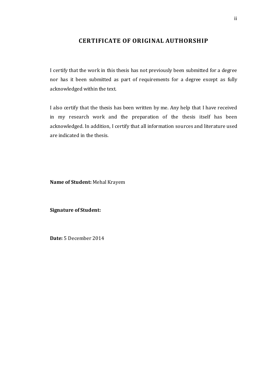# **CERTIFICATE OF ORIGINAL AUTHORSHIP**

I certify that the work in this thesis has not previously been submitted for a degree nor has it been submitted as part of requirements for a degree except as fully acknowledged within the text.

I also certify that the thesis has been written by me. Any help that I have received in my research work and the preparation of the thesis itself has been acknowledged. In addition, I certify that all information sources and literature used are indicated in the thesis.

**Name of Student:** Mehal Krayem

**Signature of Student:** 

**Date:** 5 December 2014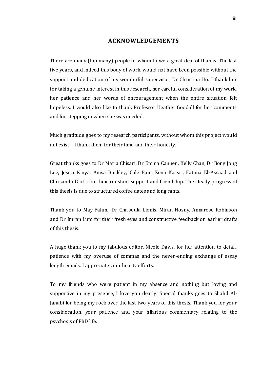### **ACKNOWLEDGEMENTS**

There are many (too many) people to whom I owe a great deal of thanks. The last five years, and indeed this body of work, would not have been possible without the support and dedication of my wonderful supervisor, Dr Christina Ho. I thank her for taking a genuine interest in this research, her careful consideration of my work, her patience and her words of encouragement when the entire situation felt hopeless. I would also like to thank Professor Heather Goodall for her comments and for stepping in when she was needed.

Much gratitude goes to my research participants, without whom this project would not exist – I thank them for their time and their honesty.

Great thanks goes to Dr Maria Chisari, Dr Emma Cannen, Kelly Chan, Dr Bong Jong Lee, Jesica Kinya, Anisa Buckley, Cale Bain, Zena Kassir, Fatima El-Assaad and Chrisanthi Giotis for their constant support and friendship. The steady progress of this thesis is due to structured coffee dates and long rants.

Thank you to May Fahmi, Dr Chrisoula Lionis, Miran Hosny, Annarose Robinson and Dr Imran Lum for their fresh eyes and constructive feedback on earlier drafts of this thesis.

A huge thank you to my fabulous editor, Nicole Davis, for her attention to detail, patience with my overuse of commas and the never-ending exchange of essay length emails. I appreciate your hearty efforts.

To my friends who were patient in my absence and nothing but loving and supportive in my presence, I love you dearly. Special thanks goes to Shahd Al-Janabi for being my rock over the last two years of this thesis. Thank you for your consideration, your patience and your hilarious commentary relating to the psychosis of PhD life.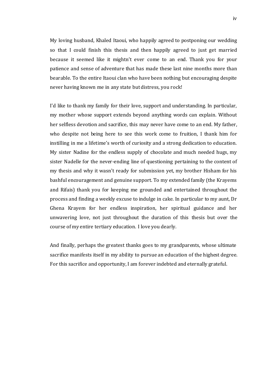My loving husband, Khaled Itaoui, who happily agreed to postponing our wedding so that I could finish this thesis and then happily agreed to just get married because it seemed like it mightn't ever come to an end. Thank you for your patience and sense of adventure that has made these last nine months more than bearable. To the entire Itaoui clan who have been nothing but encouraging despite never having known me in any state but distress, you rock!

I'd like to thank my family for their love, support and understanding. In particular, my mother whose support extends beyond anything words can explain. Without her selfless devotion and sacrifice, this may never have come to an end. My father, who despite not being here to see this work come to fruition, I thank him for instilling in me a lifetime's worth of curiosity and a strong dedication to education. My sister Nadine for the endless supply of chocolate and much needed hugs, my sister Nadelle for the never-ending line of questioning pertaining to the content of my thesis and why it wasn't ready for submission yet, my brother Hisham for his bashful encouragement and genuine support. To my extended family (the Krayems and Rifais) thank you for keeping me grounded and entertained throughout the process and finding a weekly excuse to indulge in cake. In particular to my aunt, Dr Ghena Krayem for her endless inspiration, her spiritual guidance and her unwavering love, not just throughout the duration of this thesis but over the course of my entire tertiary education. I love you dearly.

And finally, perhaps the greatest thanks goes to my grandparents, whose ultimate sacrifice manifests itself in my ability to pursue an education of the highest degree. For this sacrifice and opportunity, I am forever indebted and eternally grateful.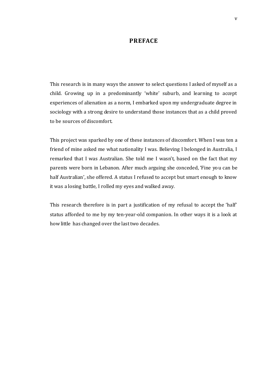#### **PREFACE**

This research is in many ways the answer to select questions I asked of myself as a child. Growing up in a predominantly 'white' suburb, and learning to accept experiences of alienation as a norm, I embarked upon my undergraduate degree in sociology with a strong desire to understand those instances that as a child proved to be sources of discomfort.

This project was sparked by one of these instances of discomfor t. When I was ten a friend of mine asked me what nationality I was. Believing I belonged in Australia, I remarked that I was Australian. She told me I wasn't, based on the fact that my parents were born in Lebanon. After much arguing she conceded, 'Fine yo u can be half Australian', she offered. A status I refused to accept but smart enough to know it was a losing battle, I rolled my eyes and walked away.

This research therefore is in part a justification of my refusal to accept the 'half' status afforded to me by my ten-year-old companion. In other ways it is a look at how little has changed over the last two decades.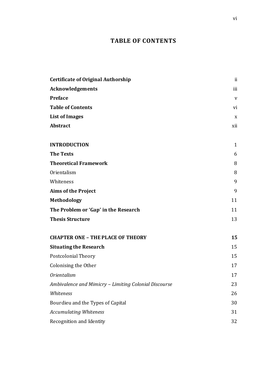# **TABLE OF CONTENTS**

| <b>Certificate of Original Authorship</b>             | ii           |
|-------------------------------------------------------|--------------|
| Acknowledgements                                      | iii          |
| <b>Preface</b>                                        | V            |
| <b>Table of Contents</b>                              | vi           |
| <b>List of Images</b>                                 | X            |
| <b>Abstract</b>                                       | xii          |
| <b>INTRODUCTION</b>                                   | $\mathbf{1}$ |
| <b>The Texts</b>                                      | 6            |
| <b>Theoretical Framework</b>                          | 8            |
| Orientalism                                           | 8            |
| Whiteness                                             | 9            |
| <b>Aims of the Project</b>                            | 9            |
| <b>Methodology</b>                                    | 11           |
| The Problem or 'Gap' in the Research                  | 11           |
| <b>Thesis Structure</b>                               | 13           |
| <b>CHAPTER ONE - THE PLACE OF THEORY</b>              | 15           |
| <b>Situating the Research</b>                         | 15           |
| Postcolonial Theory                                   | 15           |
| Colonising the Other                                  | 17           |
| <b>Orientalism</b>                                    | 17           |
| Ambivalence and Mimicry - Limiting Colonial Discourse | 23           |
| Whiteness                                             | 26           |
| Bourdieu and the Types of Capital                     | 30           |
| <b>Accumulating Whiteness</b>                         | 31           |
| Recognition and Identity                              | 32           |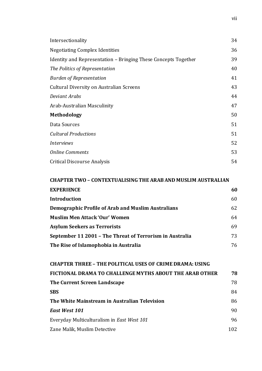| Intersectionality                                              | 34 |
|----------------------------------------------------------------|----|
| <b>Negotiating Complex Identities</b>                          | 36 |
| Identity and Representation – Bringing These Concepts Together | 39 |
| The Politics of Representation                                 | 40 |
| <b>Burden of Representation</b>                                | 41 |
| Cultural Diversity on Australian Screens                       | 43 |
| Deviant Arabs                                                  | 44 |
| Arab-Australian Masculinity                                    | 47 |
| Methodology                                                    | 50 |
| Data Sources                                                   | 51 |
| <b>Cultural Productions</b>                                    | 51 |
| <i>Interviews</i>                                              | 52 |
| <b>Online Comments</b>                                         | 53 |
| <b>Critical Discourse Analysis</b>                             | 54 |

# **CHAPTER TWO – CONTEXTUALISING THE ARAB AND MUSLIM AUSTRALIAN EXPERIENCE** 60

| <b>Introduction</b>                                      | 60 |
|----------------------------------------------------------|----|
| Demographic Profile of Arab and Muslim Australians       | 62 |
| <b>Muslim Men Attack 'Our' Women</b>                     | 64 |
| <b>Asylum Seekers as Terrorists</b>                      | 69 |
| September 11 2001 - The Threat of Terrorism in Australia | 73 |
| The Rise of Islamophobia in Australia                    | 76 |

| <b>CHAPTER THREE - THE POLITICAL USES OF CRIME DRAMA: USING</b> |     |
|-----------------------------------------------------------------|-----|
| FICTIONAL DRAMA TO CHALLENGE MYTHS ABOUT THE ARAB OTHER         | 78  |
| The Current Screen Landscape                                    | 78  |
| <b>SBS</b>                                                      | 84  |
| The White Mainstream in Australian Television                   | 86  |
| <b>East West 101</b>                                            | 90  |
| Everyday Multiculturalism in East West 101                      | 96  |
| Zane Malik, Muslim Detective                                    | 102 |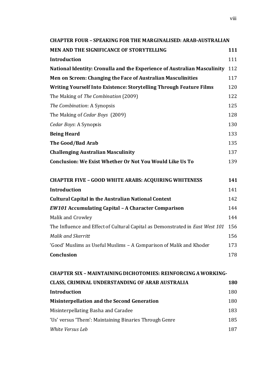| <b>CHAPTER FOUR - SPEAKING FOR THE MARGINALISED: ARAB-AUSTRALIAN</b>          |            |  |
|-------------------------------------------------------------------------------|------------|--|
| MEN AND THE SIGNIFICANCE OF STORYTELLING                                      | 111        |  |
| Introduction                                                                  | 111        |  |
| National Identity: Cronulla and the Experience of Australian Masculinity      | 112        |  |
| Men on Screen: Changing the Face of Australian Masculinities                  | 117        |  |
| Writing Yourself Into Existence: Storytelling Through Feature Films           | 120        |  |
| The Making of The Combination (2009)                                          | 122        |  |
| The Combination: A Synopsis                                                   | 125        |  |
| The Making of Cedar Boys (2009)                                               | 128        |  |
| Cedar Boys: A Synopsis                                                        | 130        |  |
| <b>Being Heard</b>                                                            | 133        |  |
| The Good/Bad Arab                                                             | 135        |  |
| <b>Challenging Australian Masculinity</b>                                     | 137        |  |
| <b>Conclusion: We Exist Whether Or Not You Would Like Us To</b>               | 139        |  |
| <b>CHAPTER FIVE - GOOD WHITE ARABS: ACQUIRING WHITENESS</b>                   | 141        |  |
| Introduction                                                                  | 141        |  |
| <b>Cultural Capital in the Australian National Context</b>                    | 142        |  |
| <b>EW101 Accumulating Capital - A Character Comparison</b>                    | 144        |  |
| Malik and Crowley                                                             | 144        |  |
| The Influence and Effect of Cultural Capital as Demonstrated in East West 101 | 156        |  |
| Malik and Skerritt                                                            | 156        |  |
| 'Good' Muslims as Useful Muslims - A Comparison of Malik and Khoder           | 173        |  |
| Conclusion                                                                    | 178        |  |
| <b>CHAPTER SIX - MAINTAINING DICHOTOMIES: REINFORCING A WORKING-</b>          |            |  |
| CLASS, CRIMINAL UNDERSTANDING OF ARAB AUSTRALIA                               | <b>180</b> |  |
| Introduction                                                                  | 180        |  |
| <b>Misinterpellation and the Second Generation</b>                            | 180        |  |
| Misinternellating Basha and Caradee                                           | 183        |  |

Misinterpellating Basha and Caradee 183 'Us' versus 'Them': Maintaining Binaries Through Genre 185 *White Versus Leb* 187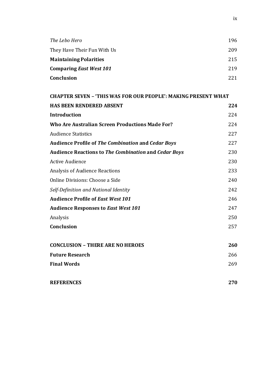| The Lebo Hero                 | 196 |  |
|-------------------------------|-----|--|
| They Have Their Fun With Us   | 209 |  |
| <b>Maintaining Polarities</b> | 215 |  |
| Comparing East West 101       | 219 |  |
| <b>Conclusion</b>             | 221 |  |

| <b>CHAPTER SEVEN - 'THIS WAS FOR OUR PEOPLE': MAKING PRESENT WHAT</b> |     |  |
|-----------------------------------------------------------------------|-----|--|
| <b>HAS BEEN RENDERED ABSENT</b>                                       | 224 |  |
| <b>Introduction</b>                                                   | 224 |  |
| Who Are Australian Screen Productions Made For?                       | 224 |  |
| <b>Audience Statistics</b>                                            | 227 |  |
| <b>Audience Profile of The Combination and Cedar Boys</b>             | 227 |  |
| <b>Audience Reactions to The Combination and Cedar Boys</b>           | 230 |  |
| <b>Active Audience</b>                                                | 230 |  |
| <b>Analysis of Audience Reactions</b>                                 | 233 |  |
| Online Divisions: Choose a Side                                       | 240 |  |
| Self-Definition and National Identity                                 | 242 |  |
| <b>Audience Profile of East West 101</b>                              | 246 |  |
| <b>Audience Responses to East West 101</b>                            | 247 |  |
| Analysis                                                              | 250 |  |
| Conclusion                                                            | 257 |  |
| <b>CONCLUSION - THERE ARE NO HEROES</b>                               | 260 |  |
| <b>Future Research</b>                                                | 266 |  |
| <b>Final Words</b>                                                    | 269 |  |
| <b>REFERENCES</b>                                                     | 270 |  |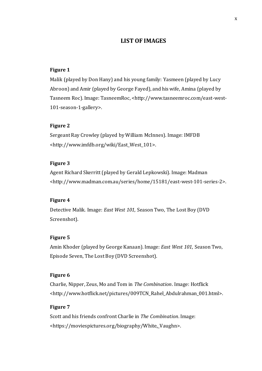# **LIST OF IMAGES**

#### **Figure 1**

Malik (played by Don Hany) and his young family: Yasmeen (played by Lucy Abroon) and Amir (played by George Fayed), and his wife, Amina (played by Tasneem Roc). Image: TasneemRoc, <http://www.tasneemroc.com/east-west-101-season-1-gallery>.

#### **Figure 2**

Sergeant Ray Crowley (played by William McInnes). Image: IMFDB <http://www.imfdb.org/wiki/East\_West\_101>.

#### **Figure 3**

Agent Richard Skerritt (played by Gerald Lepkowski). Image: Madman <http://www.madman.com.au/series/home/15181/east-west-101-series-2>.

#### **Figure 4**

Detective Malik. Image: *East West 101*, Season Two, The Lost Boy (DVD Screenshot).

#### **Figure 5**

Amin Khoder (played by George Kanaan). Image: *East West 101*, Season Two, Episode Seven, The Lost Boy (DVD Screenshot).

#### **Figure 6**

Charlie, Nipper, Zeus, Mo and Tom in *The Combination*. Image: Hotflick <http://www.hotflick.net/pictures/009TCN\_Rahel\_Abdulrahman\_001.html>.

## **Figure 7**

Scott and his friends confront Charlie in *The Combination*. Image: <https://moviespictures.org/biography/White,\_Vaughn>.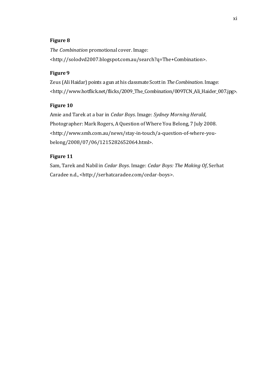## **Figure 8**

*The Combination* promotional cover. Image: <http://solodvd2007.blogspot.com.au/search?q=The+Combination>.

#### **Figure 9**

Zeus (Ali Haidar) points a gun at his classmate Scott in *The Combination*. Image: <http://www.hotflick.net/flicks/2009\_The\_Combination/009TCN\_Ali\_Haider\_007.jpg>.

#### **Figure 10**

Amie and Tarek at a bar in *Cedar Boys*. Image: *Sydney Morning Herald*, Photographer: Mark Rogers, A Question of Where You Belong, 7 July 2008. <http://www.smh.com.au/news/stay-in-touch/a-question-of-where-youbelong/2008/07/06/1215282652064.html>.

#### **Figure 11**

Sam, Tarek and Nabil in *Cedar Boys*. Image: *Cedar Boys: The Making Of*, Serhat Caradee n.d., <http://serhatcaradee.com/cedar-boys>.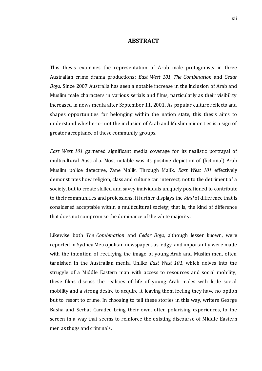#### **ABSTRACT**

This thesis examines the representation of Arab male protagonists in three Australian crime drama productions: *East West 101, The Combination* and *Cedar Boys*. Since 2007 Australia has seen a notable increase in the inclusion of Arab and Muslim male characters in various serials and films, particularly as their visibility increased in news media after September 11, 2001. As popular culture reflects and shapes opportunities for belonging within the nation state, this thesis aims to understand whether or not the inclusion of Arab and Muslim minorities is a sign of greater acceptance of these community groups.

*East West 101* garnered significant media coverage for its realistic portrayal of multicultural Australia. Most notable was its positive depiction of (fictional) Arab Muslim police detective, Zane Malik. Through Malik, *East West 101* effectively demonstrates how religion, class and culture can intersect, not to the detriment of a society, but to create skilled and savvy individuals uniquely positioned to contribute to their communities and professions. It further displays the *kind* of difference that is considered acceptable within a multicultural society; that is, the kind of difference that does not compromise the dominance of the white majority.

Likewise both *The Combination* and *Cedar Boys,* although lesser known, were reported in Sydney Metropolitan newspapers as 'edgy' and importantly were made with the intention of rectifying the image of young Arab and Muslim men, often tarnished in the Australian media. Unlike *East West 101*, which delves into the struggle of a Middle Eastern man with access to resources and social mobility, these films discuss the realities of life of young Arab males with little social mobility and a strong desire to acquire it, leaving them feeling they have no option but to resort to crime. In choosing to tell these stories in this way, writers George Basha and Serhat Caradee bring their own, often polarising experiences, to the screen in a way that seems to reinforce the existing discourse of Middle Eastern men as thugs and criminals.